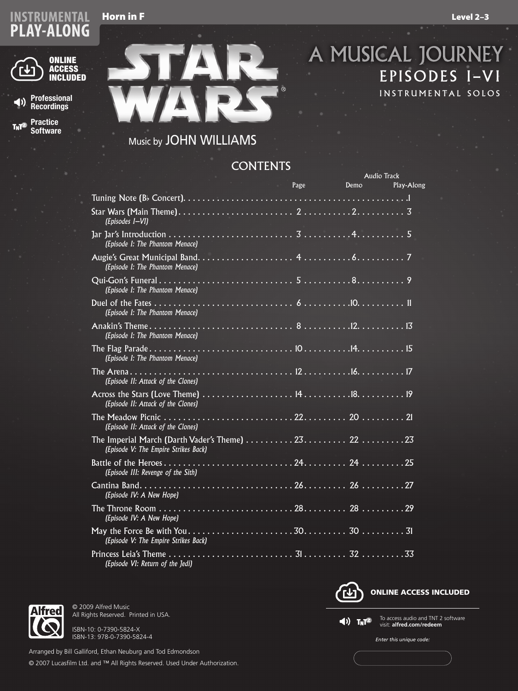### Horn in F Level 2–3

# STRUMENTAL Horn in F<br>LAY-ALONG



**Professional**   $\blacktriangleleft$ **Recordings**

**Practice**  T<sub>N</sub>T<sup>2</sup> **Software**



# A MUSICAL JOURNEY EPISODES I–VI INSTRUMENTAL SOLOS

# Music by JOHN WILLIAMS

## **CONTENTS**

|                                                                                            |              |           | Audio Track |            |
|--------------------------------------------------------------------------------------------|--------------|-----------|-------------|------------|
|                                                                                            | the Williams | Page Demo |             | Play-Along |
|                                                                                            |              |           |             |            |
| (Episodes I-VI)                                                                            |              |           |             |            |
| (Episode I: The Phantom Menace)                                                            |              |           |             |            |
| (Episode I: The Phantom Menace)                                                            |              |           |             |            |
| (Episode I: The Phantom Menace)                                                            |              |           |             |            |
| (Episode I: The Phantom Menace)                                                            |              |           |             |            |
| (Episode I: The Phantom Menace)                                                            |              |           |             |            |
| (Episode I: The Phantom Menace)                                                            |              |           |             |            |
| (Episode II: Attack of the Clones)                                                         |              |           |             |            |
| (Episode II: Attack of the Clones)                                                         |              |           |             |            |
| (Episode II: Attack of the Clones)                                                         |              |           |             |            |
| The Imperial March (Darth Vader's Theme)  23 22 23<br>(Episode V: The Empire Strikes Back) |              |           |             |            |
| (Episode III: Revenge of the Sith)                                                         |              |           |             |            |
| (Episode IV: A New Hope)                                                                   |              |           |             |            |
| (Episode IV: A New Hope)                                                                   |              |           |             |            |
| (Episode V: The Empire Strikes Back)                                                       |              |           |             |            |
| (Episode VI: Return of the Jedi)                                                           |              |           |             |            |



ISBN-10: 0-7390-5824-X ISBN-13: 978-0-7390-5824-4

All Rights Reserved. Printed in USA.

© 2009 Alfred Music

Arranged by Bill Galliford, Ethan Neuburg and Tod Edmondson © 2007 Lucasfilm Ltd. and ™ All Rights Reserved. Used Under Authorization.



 $\blacktriangleleft$ )  $\mathsf{T}_N\mathsf{T}^2$ 

To access audio and TNT 2 software visit: **alfred.com/redeem**

*Enter this unique code:*